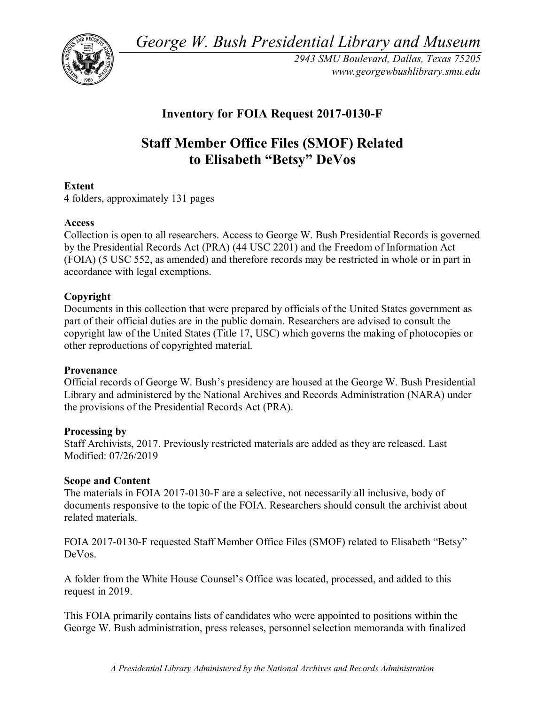*George W. Bush Presidential Library and Museum* 



*2943 SMU Boulevard, Dallas, Texas 75205 <www.georgewbushlibrary.smu.edu>*

# **Inventory for FOIA Request 2017-0130-F**

# **Staff Member Office Files (SMOF) Related to Elisabeth "Betsy" DeVos**

## **Extent**

4 folders, approximately 131 pages

#### **Access**

 Collection is open to all researchers. Access to George W. Bush Presidential Records is governed by the Presidential Records Act (PRA) (44 USC 2201) and the Freedom of Information Act (FOIA) (5 USC 552, as amended) and therefore records may be restricted in whole or in part in accordance with legal exemptions.

#### **Copyright**

Documents in this collection that were prepared by officials of the United States government as part of their official duties are in the public domain. Researchers are advised to consult the copyright law of the United States (Title 17, USC) which governs the making of photocopies or other reproductions of copyrighted material.

#### **Provenance**

Official records of George W. Bush's presidency are housed at the George W. Bush Presidential Library and administered by the National Archives and Records Administration (NARA) under the provisions of the Presidential Records Act (PRA).

#### **Processing by**

Staff Archivists, 2017. Previously restricted materials are added as they are released. Last Modified: 07/26/2019

#### **Scope and Content**

The materials in FOIA 2017-0130-F are a selective, not necessarily all inclusive, body of documents responsive to the topic of the FOIA. Researchers should consult the archivist about related materials.

FOIA 2017-0130-F requested Staff Member Office Files (SMOF) related to Elisabeth "Betsy" DeVos.

 A folder from the White House Counsel's Office was located, processed, and added to this request in 2019.

 George W. Bush administration, press releases, personnel selection memoranda with finalized This FOIA primarily contains lists of candidates who were appointed to positions within the